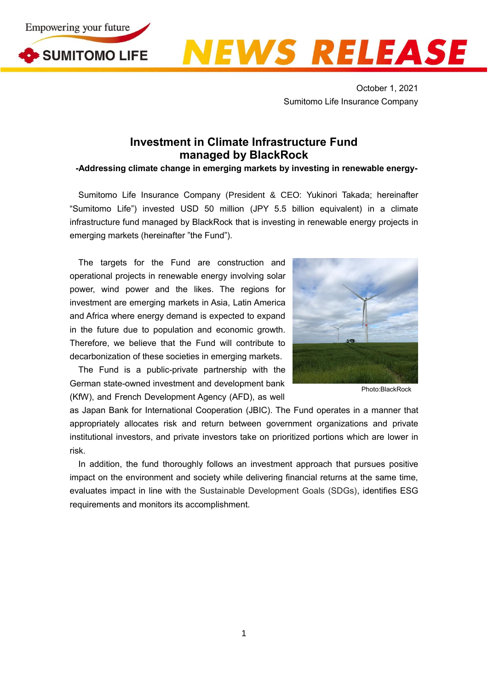





October 1, 2021 Sumitomo Life Insurance Company

## **Investment in Climate Infrastructure Fund managed by BlackRock**

**-Addressing climate change in emerging markets by investing in renewable energy-**

Sumitomo Life Insurance Company (President & CEO: Yukinori Takada; hereinafter "Sumitomo Life") invested USD 50 million (JPY 5.5 billion equivalent) in a climate infrastructure fund managed by BlackRock that is investing in renewable energy projects in emerging markets (hereinafter "the Fund").

The targets for the Fund are construction and operational projects in renewable energy involving solar power, wind power and the likes. The regions for investment are emerging markets in Asia, Latin America and Africa where energy demand is expected to expand in the future due to population and economic growth. Therefore, we believe that the Fund will contribute to decarbonization of these societies in emerging markets.

The Fund is a public-private partnership with the German state-owned investment and development bank (KfW), and French Development Agency (AFD), as well



Photo:BlackRock

as Japan Bank for International Cooperation (JBIC). The Fund operates in a manner that appropriately allocates risk and return between government organizations and private institutional investors, and private investors take on prioritized portions which are lower in risk.

In addition, the fund thoroughly follows an investment approach that pursues positive impact on the environment and society while delivering financial returns at the same time, evaluates impact in line with the Sustainable Development Goals (SDGs), identifies ESG requirements and monitors its accomplishment.